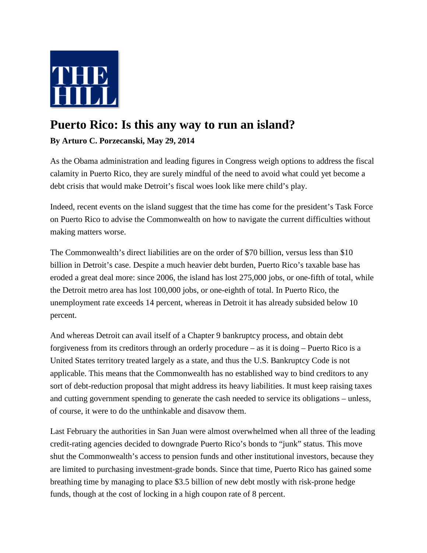

## **Puerto Rico: Is this any way to run an island?**

**By Arturo C. Porzecanski, May 29, 2014**

As the Obama administration and leading figures in Congress weigh options to address the fiscal calamity in Puerto Rico, they are surely mindful of the need to avoid what could yet become a debt crisis that would make Detroit's fiscal woes look like mere child's play.

Indeed, recent events on the island suggest that the time has come for the president's Task Force on Puerto Rico to advise the Commonwealth on how to navigate the current difficulties without making matters worse.

The Commonwealth's direct liabilities are on the order of \$70 billion, versus less than \$10 billion in Detroit's case. Despite a much heavier debt burden, Puerto Rico's taxable base has eroded a great deal more: since 2006, the island has lost 275,000 jobs, or one-fifth of total, while the Detroit metro area has lost 100,000 jobs, or one-eighth of total. In Puerto Rico, the unemployment rate exceeds 14 percent, whereas in Detroit it has already subsided below 10 percent.

And whereas Detroit can avail itself of a Chapter 9 bankruptcy process, and obtain debt forgiveness from its creditors through an orderly procedure – as it is doing – Puerto Rico is a United States territory treated largely as a state, and thus the U.S. Bankruptcy Code is not applicable. This means that the Commonwealth has no established way to bind creditors to any sort of debt-reduction proposal that might address its heavy liabilities. It must keep raising taxes and cutting government spending to generate the cash needed to service its obligations – unless, of course, it were to do the unthinkable and disavow them.

Last February the authorities in San Juan were almost overwhelmed when all three of the leading credit-rating agencies decided to downgrade Puerto Rico's bonds to "junk" status. This move shut the Commonwealth's access to pension funds and other institutional investors, because they are limited to purchasing investment-grade bonds. Since that time, Puerto Rico has gained some breathing time by managing to place \$3.5 billion of new debt mostly with risk-prone hedge funds, though at the cost of locking in a high coupon rate of 8 percent.